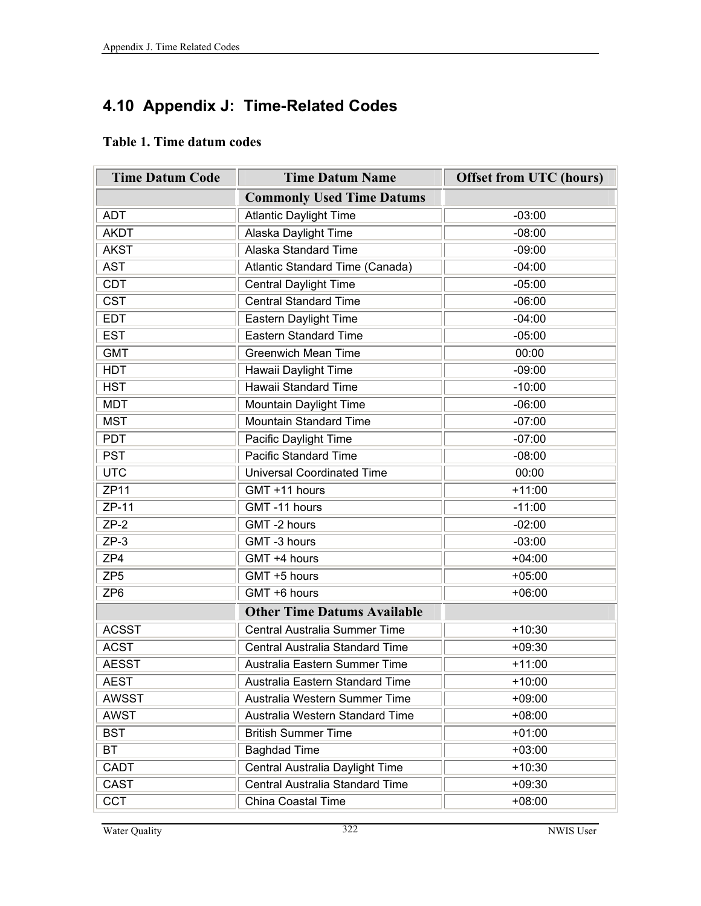## **4.10 Appendix J: Time-Related Codes**

## **Table 1. Time datum codes**

| <b>Time Datum Code</b>  | <b>Time Datum Name</b>                      | <b>Offset from UTC (hours)</b> |
|-------------------------|---------------------------------------------|--------------------------------|
|                         | <b>Commonly Used Time Datums</b>            |                                |
| <b>ADT</b>              | <b>Atlantic Daylight Time</b>               | $-03:00$                       |
| <b>AKDT</b>             | <b>Alaska Daylight Time</b>                 | $-08:00$                       |
| <b>AKST</b>             | <b>Alaska Standard Time</b>                 | $-09:00$                       |
| <b>AST</b>              | Atlantic Standard Time (Canada)             | $-04:00$                       |
| <b>CDT</b>              | <b>Central Daylight Time</b>                | $-05:00$                       |
| $\overline{\text{CST}}$ | <b>Central Standard Time</b>                | $-06:00$                       |
| <b>EDT</b>              | Eastern Daylight Time                       | $-04:00$                       |
| <b>EST</b>              | <b>Eastern Standard Time</b>                | $-05:00$                       |
| <b>GMT</b>              | <b>Greenwich Mean Time</b>                  | 00:00                          |
| <b>HDT</b>              | Hawaii Daylight Time                        | $-09:00$                       |
| <b>HST</b>              | Hawaii Standard Time                        | $-10:00$                       |
| <b>MDT</b>              | Mountain Daylight Time                      | $-06:00$                       |
| <b>MST</b>              | <b>Mountain Standard Time</b>               | $-07:00$                       |
| <b>PDT</b>              | Pacific Daylight Time                       | $-07:00$                       |
| <b>PST</b>              | <b>Pacific Standard Time</b>                | $-08:00$                       |
| <b>UTC</b>              | <b>Universal Coordinated Time</b>           | 00:00                          |
| <b>ZP11</b>             | GMT +11 hours                               | $+11:00$                       |
| ZP-11                   | GMT-11 hours                                | $-11:00$                       |
| $ZP-2$                  | GMT-2 hours                                 | $-02:00$                       |
| $ZP-3$                  | GMT -3 hours                                | $-03:00$                       |
| ZP4                     | GMT +4 hours                                | $+04:00$                       |
| ZP <sub>5</sub>         | GMT +5 hours                                | $+05:00$                       |
| ZP <sub>6</sub>         | GMT +6 hours                                | $+06:00$                       |
|                         | <b>Other Time Datums Available</b>          |                                |
| <b>ACSST</b>            | Central Australia Summer Time               | $+10:30$                       |
| <b>ACST</b>             | Central Australia Standard Time             | $+09:30$                       |
| <b>AESST</b>            | Australia Eastern Summer Time               | $+11:00$                       |
| <b>AEST</b>             | Australia Eastern Standard Time             | $+10:00$                       |
| <b>AWSST</b>            | Australia Western Summer Time               | $+09:00$                       |
| <b>AWST</b>             | Australia Western Standard Time<br>$+08:00$ |                                |
| <b>BST</b>              | <b>British Summer Time</b>                  | $+01:00$                       |
| BT                      | <b>Baghdad Time</b>                         | $+03:00$                       |
| CADT                    | Central Australia Daylight Time             | $+10:30$                       |
| CAST                    | Central Australia Standard Time             | $+09:30$                       |
| <b>CCT</b>              | China Coastal Time                          | $+08:00$                       |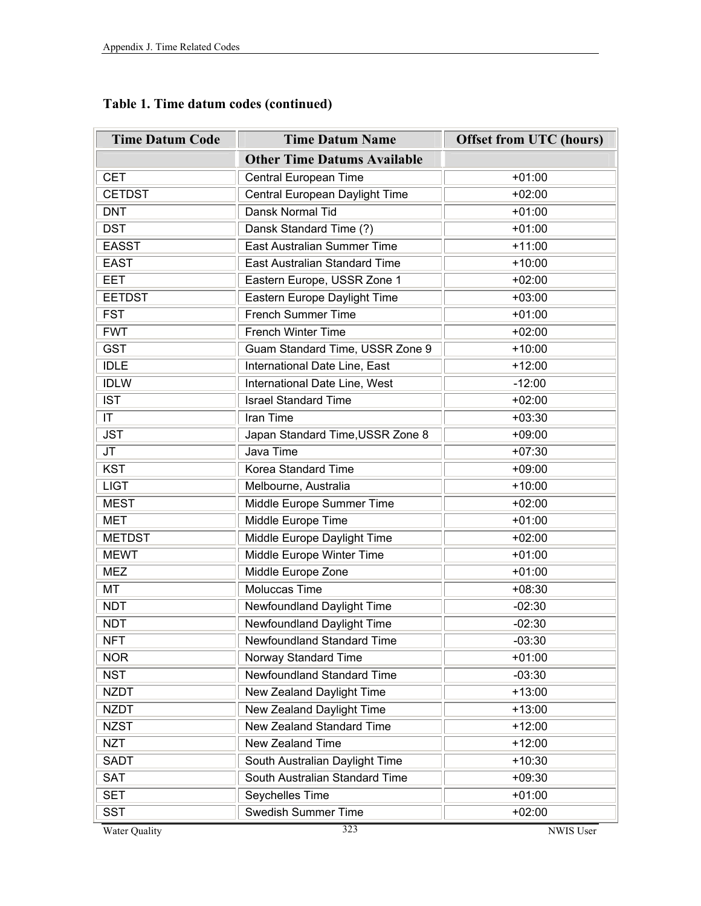| <b>Time Datum Code</b> | <b>Time Datum Name</b>             | <b>Offset from UTC (hours)</b> |
|------------------------|------------------------------------|--------------------------------|
|                        | <b>Other Time Datums Available</b> |                                |
| <b>CET</b>             | Central European Time              | $+01:00$                       |
| <b>CETDST</b>          | Central European Daylight Time     | $+02:00$                       |
| <b>DNT</b>             | Dansk Normal Tid                   | $+01:00$                       |
| <b>DST</b>             | Dansk Standard Time (?)            | $+01:00$                       |
| <b>EASST</b>           | East Australian Summer Time        | $+11:00$                       |
| <b>EAST</b>            | East Australian Standard Time      | $+10:00$                       |
| <b>EET</b>             | Eastern Europe, USSR Zone 1        | $+02:00$                       |
| <b>EETDST</b>          | Eastern Europe Daylight Time       | $+03:00$                       |
| <b>FST</b>             | French Summer Time                 | $+01:00$                       |
| <b>FWT</b>             | French Winter Time                 | $+02:00$                       |
| <b>GST</b>             | Guam Standard Time, USSR Zone 9    | $+10:00$                       |
| <b>IDLE</b>            | International Date Line, East      | $+12:00$                       |
| <b>IDLW</b>            | International Date Line, West      | $-12:00$                       |
| <b>IST</b>             | <b>Israel Standard Time</b>        | $+02:00$                       |
| IT                     | Iran Time                          | $+03:30$                       |
| <b>JST</b>             | Japan Standard Time, USSR Zone 8   | $+09:00$                       |
| JT                     | Java Time                          | $+07:30$                       |
| <b>KST</b>             | Korea Standard Time                | $+09:00$                       |
| <b>LIGT</b>            | Melbourne, Australia               | $+10:00$                       |
| <b>MEST</b>            | Middle Europe Summer Time          | $+02:00$                       |
| <b>MET</b>             | Middle Europe Time                 | $+01:00$                       |
| <b>METDST</b>          | Middle Europe Daylight Time        | $+02:00$                       |
| <b>MEWT</b>            | Middle Europe Winter Time          | $+01:00$                       |
| <b>MEZ</b>             | Middle Europe Zone                 | $+01:00$                       |
| MT                     | <b>Moluccas Time</b>               | $+08:30$                       |
| <b>NDT</b>             | Newfoundland Daylight Time         | $-02:30$                       |
| <b>NDT</b>             | Newfoundland Daylight Time         | $-02:30$                       |
| <b>NFT</b>             | Newfoundland Standard Time         | $-03:30$                       |
| <b>NOR</b>             | Norway Standard Time               | $+01:00$                       |
| <b>NST</b>             | Newfoundland Standard Time         | $-03:30$                       |
| <b>NZDT</b>            | New Zealand Daylight Time          | $+13:00$                       |
| <b>NZDT</b>            | New Zealand Daylight Time          | $+13:00$                       |
| <b>NZST</b>            | New Zealand Standard Time          | $+12:00$                       |
| <b>NZT</b>             | New Zealand Time                   | $+12:00$                       |
| <b>SADT</b>            | South Australian Daylight Time     | $+10:30$                       |
| <b>SAT</b>             | South Australian Standard Time     | $+09:30$                       |
| <b>SET</b>             | Seychelles Time                    | $+01:00$                       |
| <b>SST</b>             | Swedish Summer Time                | $+02:00$                       |

**Table 1. Time datum codes (continued)**